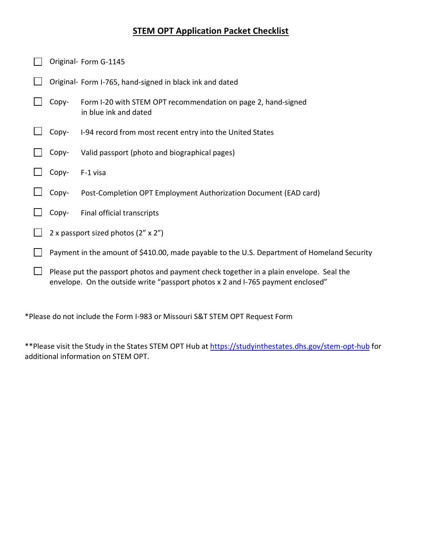## **STEM OPT Application Packet Checklist**

| Original- Form G-1145                                                                                                                                                      |                                                                                        |  |
|----------------------------------------------------------------------------------------------------------------------------------------------------------------------------|----------------------------------------------------------------------------------------|--|
|                                                                                                                                                                            | Original- Form I-765, hand-signed in black ink and dated                               |  |
| Copy-                                                                                                                                                                      | Form I-20 with STEM OPT recommendation on page 2, hand-signed<br>in blue ink and dated |  |
| Copy-                                                                                                                                                                      | I-94 record from most recent entry into the United States                              |  |
| Copy-                                                                                                                                                                      | Valid passport (photo and biographical pages)                                          |  |
| Copy-                                                                                                                                                                      | F-1 visa                                                                               |  |
| Copy-                                                                                                                                                                      | Post-Completion OPT Employment Authorization Document (EAD card)                       |  |
| Copy-                                                                                                                                                                      | Final official transcripts                                                             |  |
| 2 x passport sized photos (2" x 2")                                                                                                                                        |                                                                                        |  |
| Payment in the amount of \$410.00, made payable to the U.S. Department of Homeland Security                                                                                |                                                                                        |  |
| Please put the passport photos and payment check together in a plain envelope. Seal the<br>envelope. On the outside write "passport photos x 2 and I-765 payment enclosed" |                                                                                        |  |

\*Please do not include the Form I-983 or Missouri S&T STEM OPT Request Form

\*\*Please visit the Study in the States STEM OPT Hub at<https://studyinthestates.dhs.gov/stem-opt-hub> for additional information on STEM OPT.